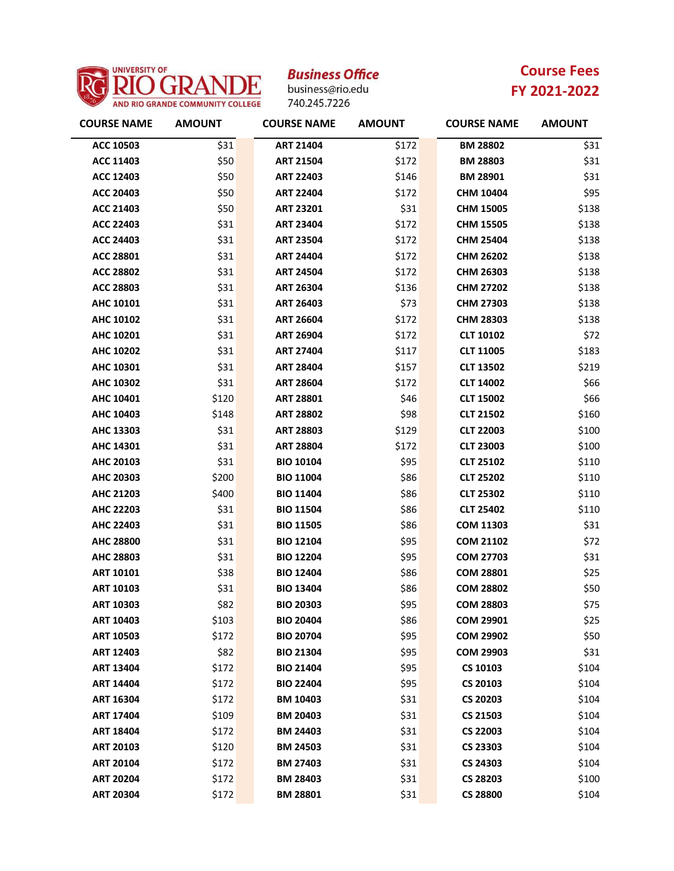

**Business Office** 

business@rio.edu 740.245.7226

## **Course Fees FY 2021-2022**

| <b>COURSE NAME</b> | <b>AMOUNT</b> | <b>COURSE NAME</b> | <b>AMOUNT</b> | <b>COURSE NAME</b> | <b>AMOUNT</b> |
|--------------------|---------------|--------------------|---------------|--------------------|---------------|
| ACC 10503          | \$31          | <b>ART 21404</b>   | \$172         | <b>BM 28802</b>    | \$31          |
| <b>ACC 11403</b>   | \$50          | <b>ART 21504</b>   | \$172         | <b>BM 28803</b>    | \$31          |
| <b>ACC 12403</b>   | \$50          | <b>ART 22403</b>   | \$146         | <b>BM 28901</b>    | \$31          |
| <b>ACC 20403</b>   | \$50          | <b>ART 22404</b>   | \$172         | CHM 10404          | \$95          |
| <b>ACC 21403</b>   | \$50          | <b>ART 23201</b>   | \$31          | <b>CHM 15005</b>   | \$138         |
| <b>ACC 22403</b>   | \$31          | <b>ART 23404</b>   | \$172         | <b>CHM 15505</b>   | \$138         |
| <b>ACC 24403</b>   | \$31          | <b>ART 23504</b>   | \$172         | <b>CHM 25404</b>   | \$138         |
| <b>ACC 28801</b>   | \$31          | <b>ART 24404</b>   | \$172         | <b>CHM 26202</b>   | \$138         |
| <b>ACC 28802</b>   | \$31          | <b>ART 24504</b>   | \$172         | CHM 26303          | \$138         |
| <b>ACC 28803</b>   | \$31          | <b>ART 26304</b>   | \$136         | <b>CHM 27202</b>   | \$138         |
| AHC 10101          | \$31          | <b>ART 26403</b>   | \$73          | <b>CHM 27303</b>   | \$138         |
| AHC 10102          | \$31          | <b>ART 26604</b>   | \$172         | <b>CHM 28303</b>   | \$138         |
| AHC 10201          | \$31          | <b>ART 26904</b>   | \$172         | <b>CLT 10102</b>   | \$72          |
| AHC 10202          | \$31          | <b>ART 27404</b>   | \$117         | <b>CLT 11005</b>   | \$183         |
| AHC 10301          | \$31          | <b>ART 28404</b>   | \$157         | <b>CLT 13502</b>   | \$219         |
| AHC 10302          | \$31          | <b>ART 28604</b>   | \$172         | <b>CLT 14002</b>   | \$66          |
| AHC 10401          | \$120         | <b>ART 28801</b>   | \$46          | <b>CLT 15002</b>   | \$66          |
| AHC 10403          | \$148         | <b>ART 28802</b>   | \$98          | <b>CLT 21502</b>   | \$160         |
| AHC 13303          | \$31          | <b>ART 28803</b>   | \$129         | <b>CLT 22003</b>   | \$100         |
| AHC 14301          | \$31          | <b>ART 28804</b>   | \$172         | <b>CLT 23003</b>   | \$100         |
| <b>AHC 20103</b>   | \$31          | <b>BIO 10104</b>   | \$95          | <b>CLT 25102</b>   | \$110         |
| AHC 20303          | \$200         | <b>BIO 11004</b>   | \$86          | <b>CLT 25202</b>   | \$110         |
| <b>AHC 21203</b>   | \$400         | <b>BIO 11404</b>   | \$86          | <b>CLT 25302</b>   | \$110         |
| <b>AHC 22203</b>   | \$31          | <b>BIO 11504</b>   | \$86          | <b>CLT 25402</b>   | \$110         |
| AHC 22403          | \$31          | <b>BIO 11505</b>   | \$86          | <b>COM 11303</b>   | \$31          |
| <b>AHC 28800</b>   | \$31          | <b>BIO 12104</b>   | \$95          | <b>COM 21102</b>   | \$72          |
| AHC 28803          | \$31          | <b>BIO 12204</b>   | \$95          | <b>COM 27703</b>   | \$31          |
| <b>ART 10101</b>   | \$38          | <b>BIO 12404</b>   | \$86          | <b>COM 28801</b>   | \$25          |
| <b>ART 10103</b>   | \$31          | <b>BIO 13404</b>   | \$86          | <b>COM 28802</b>   | \$50          |
| <b>ART 10303</b>   | \$82          | <b>BIO 20303</b>   | \$95          | <b>COM 28803</b>   | \$75          |
| <b>ART 10403</b>   | \$103         | <b>BIO 20404</b>   | \$86          | <b>COM 29901</b>   | \$25          |
| <b>ART 10503</b>   | \$172         | <b>BIO 20704</b>   | \$95          | <b>COM 29902</b>   | \$50          |
| <b>ART 12403</b>   | \$82          | <b>BIO 21304</b>   | \$95          | <b>COM 29903</b>   | \$31          |
| <b>ART 13404</b>   | \$172         | <b>BIO 21404</b>   | \$95          | CS 10103           | \$104         |
| <b>ART 14404</b>   | \$172         | <b>BIO 22404</b>   | \$95          | <b>CS 20103</b>    | \$104         |
| <b>ART 16304</b>   | \$172         | BM 10403           | \$31          | <b>CS 20203</b>    | \$104         |
| <b>ART 17404</b>   | \$109         | <b>BM 20403</b>    | \$31          | <b>CS 21503</b>    | \$104         |
| <b>ART 18404</b>   | \$172         | <b>BM 24403</b>    | \$31          | <b>CS 22003</b>    | \$104         |
| <b>ART 20103</b>   | \$120         | <b>BM 24503</b>    | \$31          | CS 23303           | \$104         |
| <b>ART 20104</b>   | \$172         | <b>BM 27403</b>    | \$31          | CS 24303           | \$104         |
| <b>ART 20204</b>   | \$172         | <b>BM 28403</b>    | \$31          | <b>CS 28203</b>    | \$100         |
| <b>ART 20304</b>   | \$172         | BM 28801           | \$31          | <b>CS 28800</b>    | \$104         |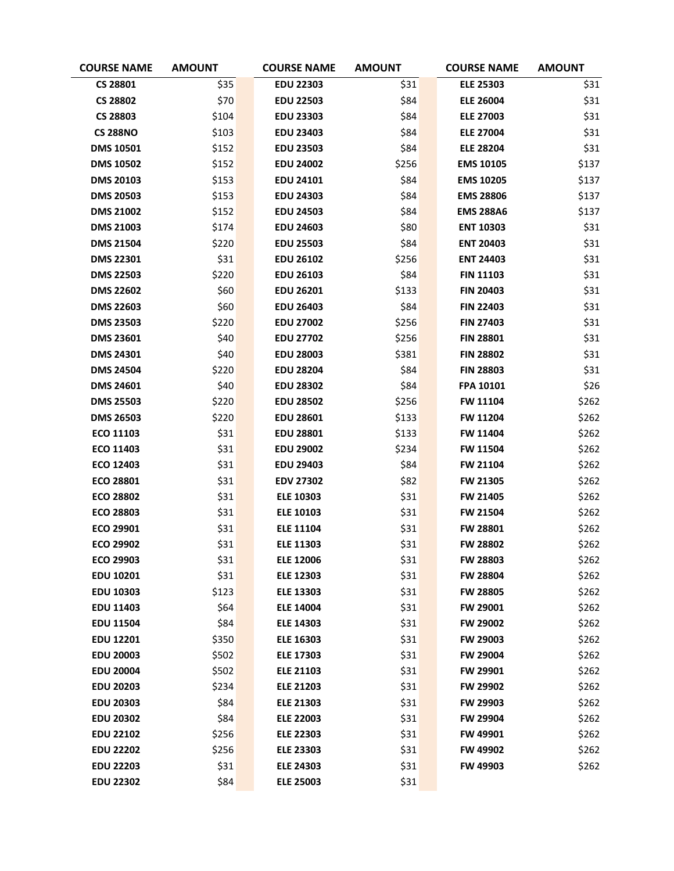| <b>COURSE NAME</b> | <b>AMOUNT</b> | <b>COURSE NAME</b> | <b>AMOUNT</b> | <b>COURSE NAME</b> | <b>AMOUNT</b> |
|--------------------|---------------|--------------------|---------------|--------------------|---------------|
| <b>CS 28801</b>    | \$35          | <b>EDU 22303</b>   | \$31          | <b>ELE 25303</b>   | \$31          |
| <b>CS 28802</b>    | \$70          | <b>EDU 22503</b>   | \$84          | <b>ELE 26004</b>   | \$31          |
| <b>CS 28803</b>    | \$104         | <b>EDU 23303</b>   | \$84          | <b>ELE 27003</b>   | \$31          |
| <b>CS 288NO</b>    | \$103         | <b>EDU 23403</b>   | \$84          | <b>ELE 27004</b>   | \$31          |
| <b>DMS 10501</b>   | \$152         | <b>EDU 23503</b>   | \$84          | <b>ELE 28204</b>   | \$31          |
| <b>DMS 10502</b>   | \$152         | <b>EDU 24002</b>   | \$256         | <b>EMS 10105</b>   | \$137         |
| <b>DMS 20103</b>   | \$153         | <b>EDU 24101</b>   | \$84          | <b>EMS 10205</b>   | \$137         |
| <b>DMS 20503</b>   | \$153         | <b>EDU 24303</b>   | \$84          | <b>EMS 28806</b>   | \$137         |
| <b>DMS 21002</b>   | \$152         | <b>EDU 24503</b>   | \$84          | <b>EMS 288A6</b>   | \$137         |
| <b>DMS 21003</b>   | \$174         | <b>EDU 24603</b>   | \$80          | <b>ENT 10303</b>   | \$31          |
| <b>DMS 21504</b>   | \$220         | <b>EDU 25503</b>   | \$84          | <b>ENT 20403</b>   | \$31          |
| <b>DMS 22301</b>   | \$31          | <b>EDU 26102</b>   | \$256         | <b>ENT 24403</b>   | \$31          |
| <b>DMS 22503</b>   | \$220         | <b>EDU 26103</b>   | \$84          | <b>FIN 11103</b>   | \$31          |
| <b>DMS 22602</b>   | \$60          | <b>EDU 26201</b>   | \$133         | <b>FIN 20403</b>   | \$31          |
| <b>DMS 22603</b>   | \$60          | <b>EDU 26403</b>   | \$84          | <b>FIN 22403</b>   | \$31          |
| <b>DMS 23503</b>   | \$220         | <b>EDU 27002</b>   | \$256         | <b>FIN 27403</b>   | \$31          |
| <b>DMS 23601</b>   | \$40          | <b>EDU 27702</b>   | \$256         | <b>FIN 28801</b>   | \$31          |
| <b>DMS 24301</b>   | \$40          | <b>EDU 28003</b>   | \$381         | <b>FIN 28802</b>   | \$31          |
| <b>DMS 24504</b>   | \$220         | <b>EDU 28204</b>   | \$84          | <b>FIN 28803</b>   | \$31          |
| <b>DMS 24601</b>   | \$40          | <b>EDU 28302</b>   | \$84          | <b>FPA 10101</b>   | \$26          |
| <b>DMS 25503</b>   | \$220         | <b>EDU 28502</b>   | \$256         | <b>FW 11104</b>    | \$262         |
| <b>DMS 26503</b>   | \$220         | <b>EDU 28601</b>   | \$133         | FW 11204           | \$262         |
| ECO 11103          | \$31          | <b>EDU 28801</b>   | \$133         | FW 11404           | \$262         |
| ECO 11403          | \$31          | <b>EDU 29002</b>   | \$234         | FW 11504           | \$262         |
| ECO 12403          | \$31          | <b>EDU 29403</b>   | \$84          | <b>FW 21104</b>    | \$262         |
| ECO 28801          | \$31          | <b>EDV 27302</b>   | \$82          | <b>FW 21305</b>    | \$262         |
| <b>ECO 28802</b>   | \$31          | <b>ELE 10303</b>   | \$31          | FW 21405           | \$262         |
| ECO 28803          | \$31          | <b>ELE 10103</b>   | \$31          | <b>FW 21504</b>    | \$262         |
| ECO 29901          | \$31          | <b>ELE 11104</b>   | \$31          | FW 28801           | \$262         |
| ECO 29902          | \$31          | <b>ELE 11303</b>   | \$31          | <b>FW 28802</b>    | \$262         |
| ECO 29903          | \$31          | <b>ELE 12006</b>   | \$31          | <b>FW 28803</b>    | \$262         |
| <b>EDU 10201</b>   | \$31          | <b>ELE 12303</b>   | \$31          | FW 28804           | \$262         |
| EDU 10303          | \$123         | <b>ELE 13303</b>   | \$31          | <b>FW 28805</b>    | \$262         |
| <b>EDU 11403</b>   | \$64          | <b>ELE 14004</b>   | \$31          | <b>FW 29001</b>    | \$262         |
| <b>EDU 11504</b>   | \$84          | <b>ELE 14303</b>   | \$31          | FW 29002           | \$262         |
| <b>EDU 12201</b>   | \$350         | <b>ELE 16303</b>   | \$31          | FW 29003           | \$262         |
| <b>EDU 20003</b>   | \$502         | <b>ELE 17303</b>   | \$31          | FW 29004           | \$262         |
| <b>EDU 20004</b>   | \$502         | <b>ELE 21103</b>   | \$31          | <b>FW 29901</b>    | \$262         |
| <b>EDU 20203</b>   | \$234         | <b>ELE 21203</b>   | \$31          | <b>FW 29902</b>    | \$262         |
| <b>EDU 20303</b>   | \$84          | <b>ELE 21303</b>   | \$31          | FW 29903           | \$262         |
| <b>EDU 20302</b>   | \$84          | <b>ELE 22003</b>   | \$31          | FW 29904           | \$262         |
| <b>EDU 22102</b>   | \$256         | <b>ELE 22303</b>   | \$31          | FW 49901           | \$262         |
| <b>EDU 22202</b>   | \$256         | <b>ELE 23303</b>   | \$31          | FW 49902           | \$262         |
| <b>EDU 22203</b>   | \$31          | <b>ELE 24303</b>   | \$31          | <b>FW 49903</b>    | \$262         |
| <b>EDU 22302</b>   | \$84          | <b>ELE 25003</b>   | \$31          |                    |               |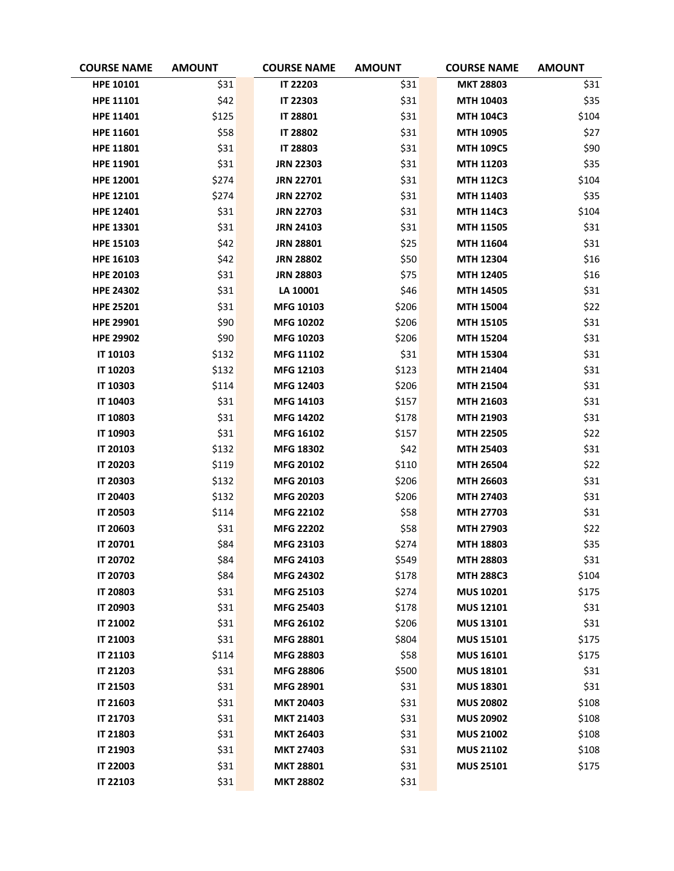| <b>COURSE NAME</b> | <b>AMOUNT</b> | <b>COURSE NAME</b> | <b>AMOUNT</b> | <b>COURSE NAME</b> | <b>AMOUNT</b> |
|--------------------|---------------|--------------------|---------------|--------------------|---------------|
| <b>HPE 10101</b>   | \$31          | <b>IT 22203</b>    | \$31          | <b>MKT 28803</b>   | \$31          |
| HPE 11101          | \$42          | <b>IT 22303</b>    | \$31          | MTH 10403          | \$35          |
| HPE 11401          | \$125         | <b>IT 28801</b>    | \$31          | <b>MTH 104C3</b>   | \$104         |
| <b>HPE 11601</b>   | \$58          | <b>IT 28802</b>    | \$31          | MTH 10905          | \$27          |
| <b>HPE 11801</b>   | \$31          | <b>IT 28803</b>    | \$31          | <b>MTH 109C5</b>   | \$90          |
| <b>HPE 11901</b>   | \$31          | <b>JRN 22303</b>   | \$31          | <b>MTH 11203</b>   | \$35          |
| <b>HPE 12001</b>   | \$274         | <b>JRN 22701</b>   | \$31          | <b>MTH 112C3</b>   | \$104         |
| <b>HPE 12101</b>   | \$274         | <b>JRN 22702</b>   | \$31          | MTH 11403          | \$35          |
| <b>HPE 12401</b>   | \$31          | <b>JRN 22703</b>   | \$31          | <b>MTH 114C3</b>   | \$104         |
| <b>HPE 13301</b>   | \$31          | <b>JRN 24103</b>   | \$31          | MTH 11505          | \$31          |
| <b>HPE 15103</b>   | \$42          | <b>JRN 28801</b>   | \$25          | MTH 11604          | \$31          |
| <b>HPE 16103</b>   | \$42          | <b>JRN 28802</b>   | \$50          | MTH 12304          | \$16          |
| <b>HPE 20103</b>   | \$31          | <b>JRN 28803</b>   | \$75          | <b>MTH 12405</b>   | \$16          |
| <b>HPE 24302</b>   | \$31          | LA 10001           | \$46          | MTH 14505          | \$31          |
| <b>HPE 25201</b>   | \$31          | MFG 10103          | \$206         | MTH 15004          | \$22          |
| <b>HPE 29901</b>   | \$90          | MFG 10202          | \$206         | <b>MTH 15105</b>   | \$31          |
| <b>HPE 29902</b>   | \$90          | MFG 10203          | \$206         | MTH 15204          | \$31          |
| <b>IT 10103</b>    | \$132         | MFG 11102          | \$31          | MTH 15304          | \$31          |
| IT 10203           | \$132         | MFG 12103          | \$123         | MTH 21404          | \$31          |
| <b>IT 10303</b>    | \$114         | MFG 12403          | \$206         | <b>MTH 21504</b>   | \$31          |
| <b>IT 10403</b>    | \$31          | MFG 14103          | \$157         | MTH 21603          | \$31          |
| <b>IT 10803</b>    | \$31          | <b>MFG 14202</b>   | \$178         | MTH 21903          | \$31          |
| IT 10903           | \$31          | MFG 16102          | \$157         | <b>MTH 22505</b>   | \$22          |
| <b>IT 20103</b>    | \$132         | MFG 18302          | \$42          | <b>MTH 25403</b>   | \$31          |
| <b>IT 20203</b>    | \$119         | <b>MFG 20102</b>   | \$110         | MTH 26504          | \$22          |
| <b>IT 20303</b>    | \$132         | <b>MFG 20103</b>   | \$206         | MTH 26603          | \$31          |
| <b>IT 20403</b>    | \$132         | <b>MFG 20203</b>   | \$206         | MTH 27403          | \$31          |
| <b>IT 20503</b>    | \$114         | MFG 22102          | \$58          | MTH 27703          | \$31          |
| <b>IT 20603</b>    | \$31          | <b>MFG 22202</b>   | \$58          | MTH 27903          | \$22          |
| <b>IT 20701</b>    | \$84          | MFG 23103          | \$274         | MTH 18803          | \$35          |
| <b>IT 20702</b>    | \$84          | <b>MFG 24103</b>   | \$549         | <b>MTH 28803</b>   | \$31          |
| <b>IT 20703</b>    | \$84          | MFG 24302          | \$178         | <b>MTH 288C3</b>   | \$104         |
| <b>IT 20803</b>    | \$31          | <b>MFG 25103</b>   | \$274         | MUS 10201          | \$175         |
| <b>IT 20903</b>    | \$31          | MFG 25403          | \$178         | <b>MUS 12101</b>   | \$31          |
| <b>IT 21002</b>    | \$31          | <b>MFG 26102</b>   | \$206         | <b>MUS 13101</b>   | \$31          |
| <b>IT 21003</b>    | \$31          | <b>MFG 28801</b>   | \$804         | <b>MUS 15101</b>   | \$175         |
| IT 21103           | \$114         | <b>MFG 28803</b>   | \$58          | MUS 16101          | \$175         |
| <b>IT 21203</b>    | \$31          | <b>MFG 28806</b>   | \$500         | <b>MUS 18101</b>   | \$31          |
| IT 21503           | \$31          | MFG 28901          | \$31          | <b>MUS 18301</b>   | \$31          |
| IT 21603           | \$31          | <b>MKT 20403</b>   | \$31          | <b>MUS 20802</b>   | \$108         |
| <b>IT 21703</b>    | \$31          | <b>MKT 21403</b>   | \$31          | <b>MUS 20902</b>   | \$108         |
| <b>IT 21803</b>    | \$31          | <b>MKT 26403</b>   | \$31          | <b>MUS 21002</b>   | \$108         |
| IT 21903           | \$31          | <b>MKT 27403</b>   | \$31          | <b>MUS 21102</b>   | \$108         |
| <b>IT 22003</b>    | \$31          | <b>MKT 28801</b>   | \$31          | <b>MUS 25101</b>   | \$175         |
| IT 22103           | \$31          | <b>MKT 28802</b>   | \$31          |                    |               |